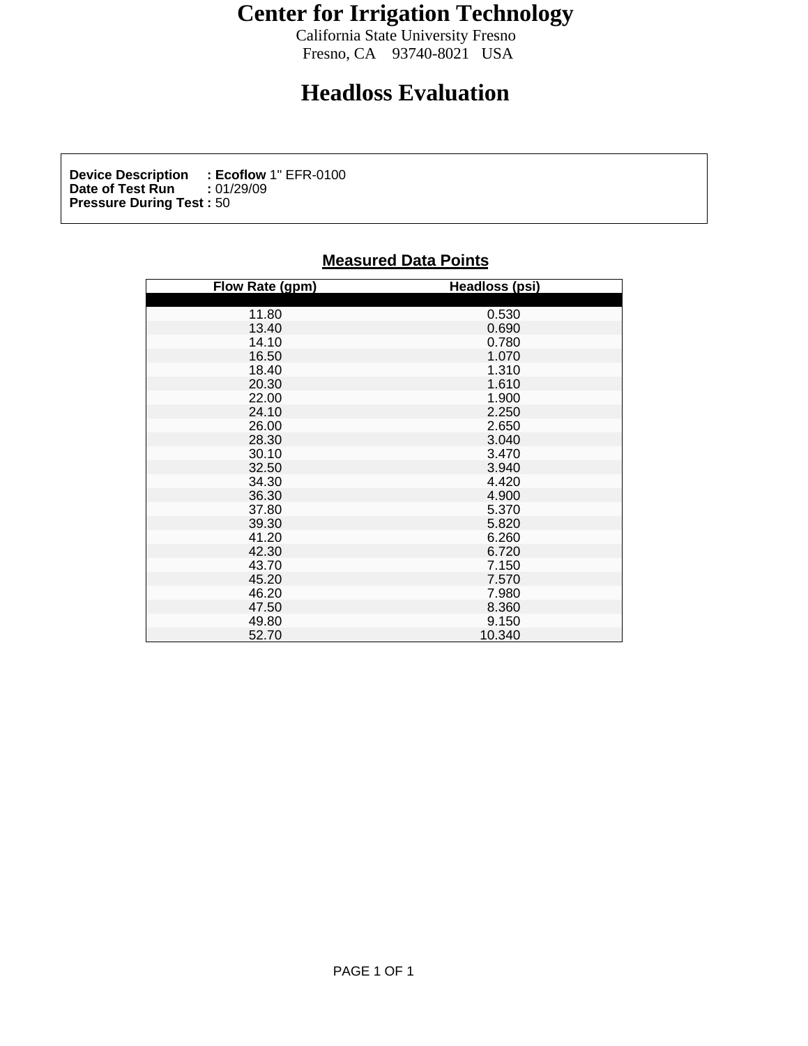## **Center for Irrigation Technology**

California State University Fresno<br>Fresno, CA 93740-8021 USA Fresno, CA 93740-8021 USA

## **Headloss Evaluation**

**Device Description : Ecoflow** 1" EFR-0100<br>Date of Test Run : 01/29/09 **Date of Test Run :** 01/29/09 **Pressure During Test :** 50

## **Measured Data Points**

| Flow Rate (gpm)                                                                                                                                                                                                      | <b>Headloss (psi)</b>                                                                                                                                                                                                                                                                        |
|----------------------------------------------------------------------------------------------------------------------------------------------------------------------------------------------------------------------|----------------------------------------------------------------------------------------------------------------------------------------------------------------------------------------------------------------------------------------------------------------------------------------------|
|                                                                                                                                                                                                                      |                                                                                                                                                                                                                                                                                              |
| 11.80                                                                                                                                                                                                                |                                                                                                                                                                                                                                                                                              |
|                                                                                                                                                                                                                      |                                                                                                                                                                                                                                                                                              |
| 13.40<br>14.10<br>16.50                                                                                                                                                                                              | 0.530<br>0.690<br>0.780<br>1.070                                                                                                                                                                                                                                                             |
|                                                                                                                                                                                                                      |                                                                                                                                                                                                                                                                                              |
|                                                                                                                                                                                                                      |                                                                                                                                                                                                                                                                                              |
|                                                                                                                                                                                                                      |                                                                                                                                                                                                                                                                                              |
| 18.40<br>20.30<br>22.00                                                                                                                                                                                              |                                                                                                                                                                                                                                                                                              |
|                                                                                                                                                                                                                      | 1.310<br>1.610<br>1.900<br>2.250                                                                                                                                                                                                                                                             |
|                                                                                                                                                                                                                      |                                                                                                                                                                                                                                                                                              |
|                                                                                                                                                                                                                      |                                                                                                                                                                                                                                                                                              |
|                                                                                                                                                                                                                      |                                                                                                                                                                                                                                                                                              |
|                                                                                                                                                                                                                      |                                                                                                                                                                                                                                                                                              |
|                                                                                                                                                                                                                      |                                                                                                                                                                                                                                                                                              |
|                                                                                                                                                                                                                      |                                                                                                                                                                                                                                                                                              |
|                                                                                                                                                                                                                      |                                                                                                                                                                                                                                                                                              |
|                                                                                                                                                                                                                      |                                                                                                                                                                                                                                                                                              |
|                                                                                                                                                                                                                      |                                                                                                                                                                                                                                                                                              |
|                                                                                                                                                                                                                      |                                                                                                                                                                                                                                                                                              |
|                                                                                                                                                                                                                      |                                                                                                                                                                                                                                                                                              |
|                                                                                                                                                                                                                      |                                                                                                                                                                                                                                                                                              |
|                                                                                                                                                                                                                      |                                                                                                                                                                                                                                                                                              |
|                                                                                                                                                                                                                      |                                                                                                                                                                                                                                                                                              |
|                                                                                                                                                                                                                      |                                                                                                                                                                                                                                                                                              |
| 24.10<br>26.00<br>28.30<br>30.10<br>32.50<br>34.30<br>37.80<br>39.30<br>41.20<br>42.30<br>45.20<br>45.20<br>45.20<br>45.20<br>45.20<br>45.20<br>45.20<br>45.20<br>45.20<br>45.20<br>45.20<br>45.20<br>45.20<br>45.20 | 2.650<br>3.040<br>3.470<br>3.470<br>3.440<br>4.420<br>4.420<br>4.420<br>5.370<br>5.820<br>6.720<br>6.720<br>7.150<br>7.570<br>7.980<br>8.360<br>9.150<br>8.360<br>9.150<br>7.150<br>7.980<br>8.360<br>8.360<br>7.150<br>7.150<br>8.360<br>8.360<br>8.360<br>8.360<br>8.360<br>8.360<br>8.360 |